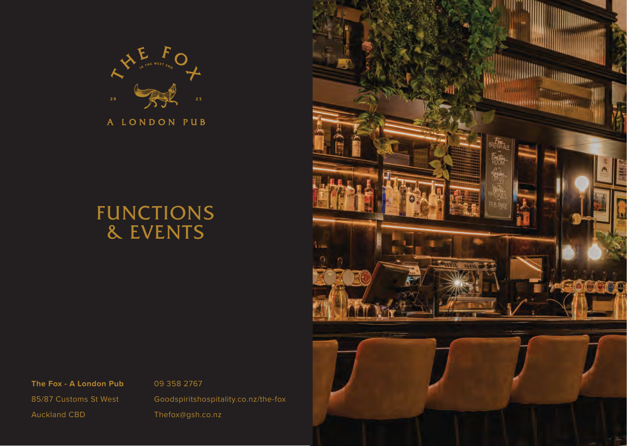

A LONDON PUB

# FUNCTIONS & EVENTS



**The Fox - A London Pub** 85/87 Customs St West Auckland CBD

09 358 2767 Goodspiritshospitality.co.nz/the-fox Thefox@gsh.co.nz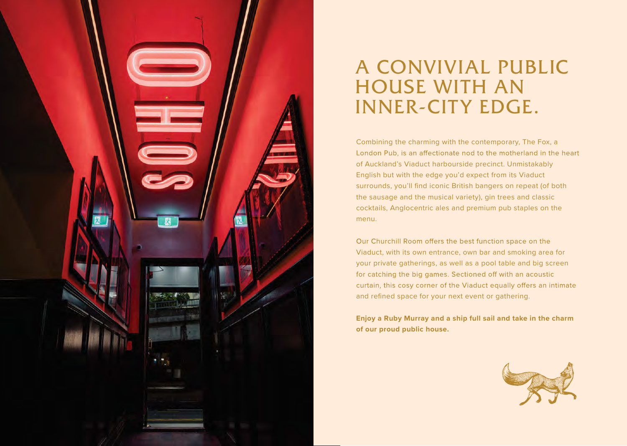

# A CONVIVIAL PUBLIC HOUSE WITH AN INNER-CITY EDGE.

Combining the charming with the contemporary, The Fox, a London Pub, is an affectionate nod to the motherland in the heart of Auckland's Viaduct harbourside precinct. Unmistakably English but with the edge you'd expect from its Viaduct surrounds, you'll find iconic British bangers on repeat (of both the sausage and the musical variety), gin trees and classic cocktails, Anglocentric ales and premium pub staples on the menu.

Our Churchill Room offers the best function space on the Viaduct, with its own entrance, own bar and smoking area for your private gatherings, as well as a pool table and big screen for catching the big games. Sectioned off with an acoustic curtain, this cosy corner of the Viaduct equally offers an intimate and refined space for your next event or gathering.

**Enjoy a Ruby Murray and a ship full sail and take in the charm of our proud public house.**

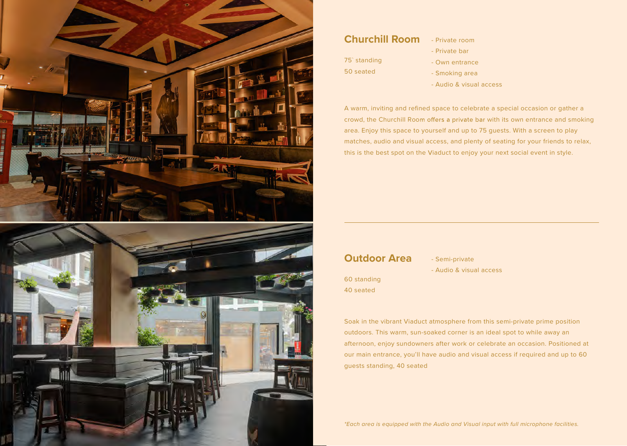

## **Churchill Room**

- 75` standing 50 seated
- Private room
- Private bar
- Own entrance
- Smoking area
- Audio & visual access

A warm, inviting and refined space to celebrate a special occasion or gather a crowd, the Churchill Room offers a private bar with its own entrance and smoking area. Enjoy this space to yourself and up to 75 guests. With a screen to play matches, audio and visual access, and plenty of seating for your friends to relax, this is the best spot on the Viaduct to enjoy your next social event in style.

## **Outdoor Area**

- Semi-private - Audio & visual access

60 standing 40 seated

Soak in the vibrant Viaduct atmosphere from this semi-private prime position outdoors. This warm, sun-soaked corner is an ideal spot to while away an afternoon, enjoy sundowners after work or celebrate an occasion. Positioned at our main entrance, you'll have audio and visual access if required and up to 60 guests standing, 40 seated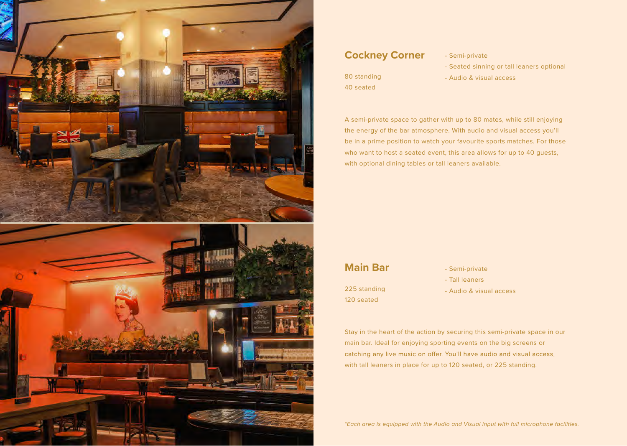

### **Cockney Corner**

80 standing 40 seated

- Semi-private
- Seated sinning or tall leaners optional
- Audio & visual access

A semi-private space to gather with up to 80 mates, while still enjoying the energy of the bar atmosphere. With audio and visual access you'll be in a prime position to watch your favourite sports matches. For those who want to host a seated event, this area allows for up to 40 guests, with optional dining tables or tall leaners available.

## **Main Bar**

225 standing 120 seated

- Semi-private
- Tall leaners
- Audio & visual access

Stay in the heart of the action by securing this semi-private space in our main bar. Ideal for enjoying sporting events on the big screens or catching any live music on offer. You'll have audio and visual access, with tall leaners in place for up to 120 seated, or 225 standing.

*\*Each area is equipped with the Audio and Visual input with full microphone facilities.*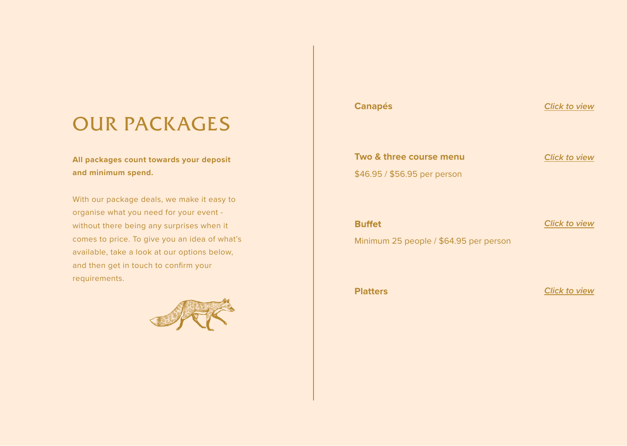# OUR PACKAGES

**All packages count towards your deposit and minimum spend.**

With our package deals, we make it easy to organise what you need for your event without there being any surprises when it comes to price. To give you an idea of what's available, take a look at our options below, and then get in touch to confirm your requirements.



# **Canapés Canapés Canapés Click to view Two & three course menu** *[Click to view](https://goodspiritshospitality.co.nz/wp-content/uploads/2022/06/Fox-Two-Three-Course-2.pdf)* \$46.95 / \$56.95 per person **Buffet** *Click to view* Minimum 25 people / \$64.95 per person

**Platters** *Click to view*